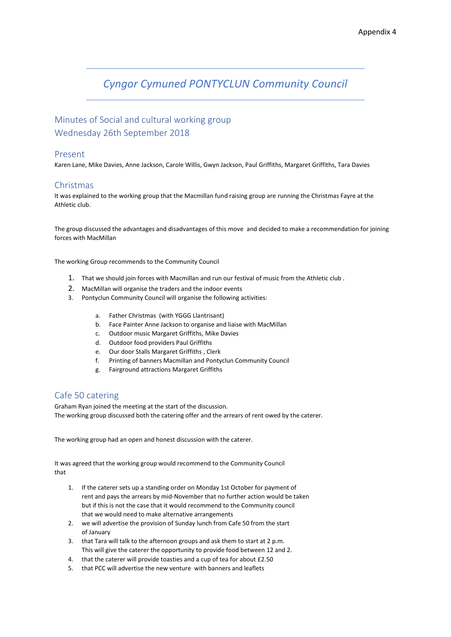# *Cyngor Cymuned PONTYCLUN Community Council*

## Minutes of Social and cultural working group Wednesday 26th September 2018

#### Present

Karen Lane, Mike Davies, Anne Jackson, Carole Willis, Gwyn Jackson, Paul Griffiths, Margaret Griffiths, Tara Davies

#### Christmas

It was explained to the working group that the Macmillan fund raising group are running the Christmas Fayre at the Athletic club.

The group discussed the advantages and disadvantages of this move and decided to make a recommendation for joining forces with MacMillan

The working Group recommends to the Community Council

- 1. That we should join forces with Macmillan and run our festival of music from the Athletic club .
- 2. MacMillan will organise the traders and the indoor events
- 3. Pontyclun Community Council will organise the following activities:
	- a. Father Christmas (with YGGG Llantrisant)
	- b. Face Painter Anne Jackson to organise and liaise with MacMillan
	- c. Outdoor music Margaret Griffiths, Mike Davies
	- d. Outdoor food providers Paul Griffiths
	- e. Our door Stalls Margaret Griffiths , Clerk
	- f. Printing of banners Macmillan and Pontyclun Community Council
	- g. Fairground attractions Margaret Griffiths

### Cafe 50 catering

Graham Ryan joined the meeting at the start of the discussion. The working group discussed both the catering offer and the arrears of rent owed by the caterer.

The working group had an open and honest discussion with the caterer.

It was agreed that the working group would recommend to the Community Council that

- 1. If the caterer sets up a standing order on Monday 1st October for payment of rent and pays the arrears by mid-November that no further action would be taken but if this is not the case that it would recommend to the Community council that we would need to make alternative arrangements
- 2. we will advertise the provision of Sunday lunch from Cafe 50 from the start of January
- 3. that Tara will talk to the afternoon groups and ask them to start at 2 p.m. This will give the caterer the opportunity to provide food between 12 and 2.
- 4. that the caterer will provide toasties and a cup of tea for about £2.50
- 5. that PCC will advertise the new venture with banners and leaflets